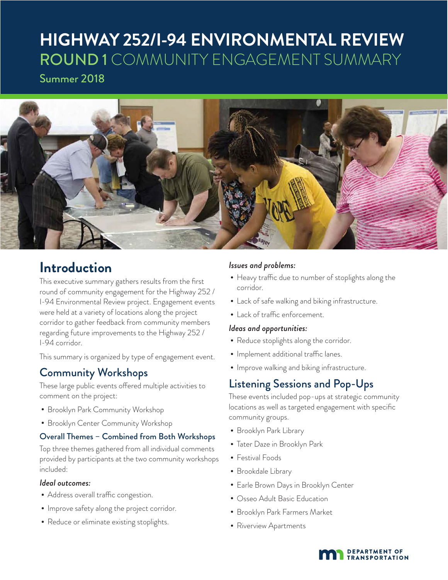# **HIGHWAY 252/I-94 ENVIRONMENTAL REVIEW** ROUND 1 COMMUNITY ENGAGEMENT SUMMARY

Summer 2018



## **Introduction**

This executive summary gathers results from the first round of community engagement for the Highway 252 / I-94 Environmental Review project. Engagement events were held at a variety of locations along the project corridor to gather feedback from community members regarding future improvements to the Highway 252 / I-94 corridor.

This summary is organized by type of engagement event.

## Community Workshops

These large public events offered multiple activities to comment on the project:

- Brooklyn Park Community Workshop
- Brooklyn Center Community Workshop

#### Overall Themes – Combined from Both Workshops

Top three themes gathered from all individual comments provided by participants at the two community workshops included:

#### *Ideal outcomes:*

- Address overall traffic congestion.
- •Improve safety along the project corridor.
- Reduce or eliminate existing stoplights.

#### *Issues and problems:*

- Heavy traffic due to number of stoplights along the corridor.
- Lack of safe walking and biking infrastructure.
- Lack of traffic enforcement.

#### *Ideas and opportunities:*

- Reduce stoplights along the corridor.
- •Implement additional traffic lanes.
- •Improve walking and biking infrastructure.

## Listening Sessions and Pop-Ups

These events included pop-ups at strategic community locations as well as targeted engagement with specific community groups.

- Brooklyn Park Library
- Tater Daze in Brooklyn Park
- Festival Foods
- Brookdale Library
- Earle Brown Days in Brooklyn Center
- Osseo Adult Basic Education
- Brooklyn Park Farmers Market
- Riverview Apartments